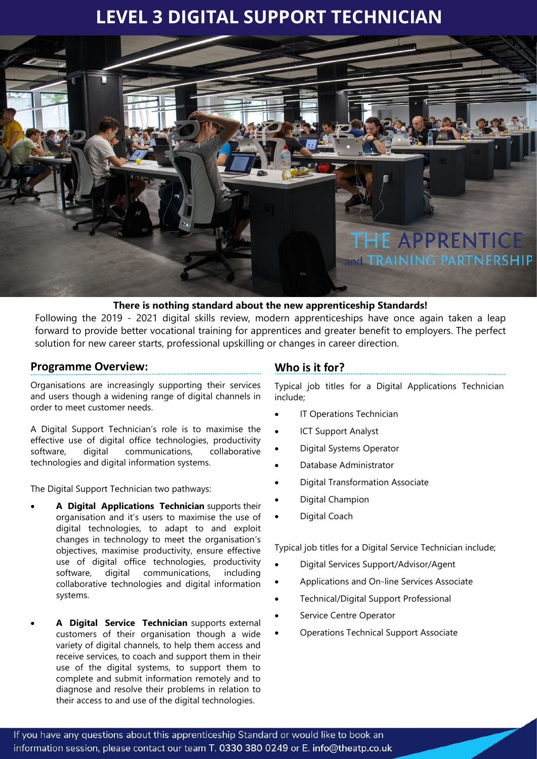# **LEVEL 3 DIGITAL SUPPORT TECHNICIAN**



## **There is nothing standard about the new apprenticeship Standards!**

Following the 2019 - 2021 digital skills review, modern apprenticeships have once again taken a leap forward to provide better vocational training for apprentices and greater benefit to employers. The perfect solution for new career starts, professional upskilling or changes in career direction.

# **Programme Overview:**

Organisations are increasingly supporting their services and users though a widening range of digital channels in order to meet customer needs.

A Digital Support Technician's role is to maximise the effective use of digital office technologies, productivity software, digital communications, collaborative technologies and digital information systems.

The Digital Support Technician two pathways:

- **A Digital Applications Technician** supports their organisation and it's users to maximise the use of digital technologies, to adapt to and exploit changes in technology to meet the organisation's objectives, maximise productivity, ensure effective use of digital office technologies, productivity software, digital communications, including collaborative technologies and digital information systems.
- **A Digital Service Technician** supports external customers of their organisation though a wide variety of digital channels, to help them access and receive services, to coach and support them in their use of the digital systems, to support them to complete and submit information remotely and to diagnose and resolve their problems in relation to their access to and use of the digital technologies.

# **Who is it for?**

Typical job titles for a Digital Applications Technician include;

- **IT Operations Technician**
- **ICT Support Analyst**
- Digital Systems Operator
- Database Administrator
- Digital Transformation Associate
- Digital Champion
- Digital Coach

Typical job titles for a Digital Service Technician include;

- Digital Services Support/Advisor/Agent
- Applications and On-line Services Associate
- Technical/Digital Support Professional
- Service Centre Operator
- Operations Technical Support Associate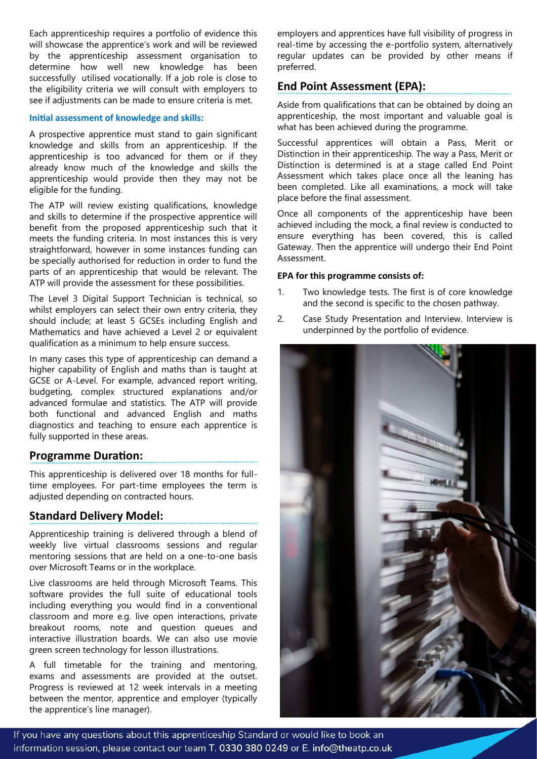Each apprenticeship requires a portfolio of evidence this will showcase the apprentice's work and will be reviewed by the apprenticeship assessment organisation to determine how well new knowledge has been successfully utilised vocationally. If a job role is close to the eligibility criteria we will consult with employers to see if adjustments can be made to ensure criteria is met.

#### **Initial assessment of knowledge and skills:**

A prospective apprentice must stand to gain significant knowledge and skills from an apprenticeship. If the apprenticeship is too advanced for them or if they already know much of the knowledge and skills the apprenticeship would provide then they may not be eligible for the funding.

The ATP will review existing qualifications, knowledge and skills to determine if the prospective apprentice will benefit from the proposed apprenticeship such that it meets the funding criteria. In most instances this is very straightforward, however in some instances funding can be specially authorised for reduction in order to fund the parts of an apprenticeship that would be relevant. The ATP will provide the assessment for these possibilities.

The Level 3 Digital Support Technician is technical, so whilst employers can select their own entry criteria, they should include; at least 5 GCSEs including English and Mathematics and have achieved a Level 2 or equivalent qualification as a minimum to help ensure success.

In many cases this type of apprenticeship can demand a higher capability of English and maths than is taught at GCSE or A-Level. For example, advanced report writing, budgeting, complex structured explanations and/or advanced formulae and statistics. The ATP will provide both functional and advanced English and maths diagnostics and teaching to ensure each apprentice is fully supported in these areas.

# **Programme Duration:**

This apprenticeship is delivered over 18 months for fulltime employees. For part-time employees the term is adjusted depending on contracted hours.

# **Standard Delivery Model:**

Apprenticeship training is delivered through a blend of weekly live virtual classrooms sessions and regular mentoring sessions that are held on a one-to-one basis over Microsoft Teams or in the workplace.

Live classrooms are held through Microsoft Teams. This software provides the full suite of educational tools including everything you would find in a conventional classroom and more e.g. live open interactions, private breakout rooms, note and question queues and interactive illustration boards. We can also use movie green screen technology for lesson illustrations.

A full timetable for the training and mentoring, exams and assessments are provided at the outset. Progress is reviewed at 12 week intervals in a meeting between the mentor, apprentice and employer (typically the apprentice's line manager).

employers and apprentices have full visibility of progress in real-time by accessing the e-portfolio system, alternatively regular updates can be provided by other means if preferred.

# **End Point Assessment (EPA):**

Aside from qualifications that can be obtained by doing an apprenticeship, the most important and valuable goal is what has been achieved during the programme.

Successful apprentices will obtain a Pass, Merit or Distinction in their apprenticeship. The way a Pass, Merit or Distinction is determined is at a stage called End Point Assessment which takes place once all the leaning has been completed. Like all examinations, a mock will take place before the final assessment.

Once all components of the apprenticeship have been achieved including the mock, a final review is conducted to ensure everything has been covered, this is called Gateway. Then the apprentice will undergo their End Point Assessment.

#### **EPA for this programme consists of:**

- 1. Two knowledge tests. The first is of core knowledge and the second is specific to the chosen pathway.
- 2. Case Study Presentation and Interview. Interview is underpinned by the portfolio of evidence.



If you have any questions about this apprenticeship Standard or would like to book an information session, please contact our team T. 0330 380 0249 or E. info@theatp.co.uk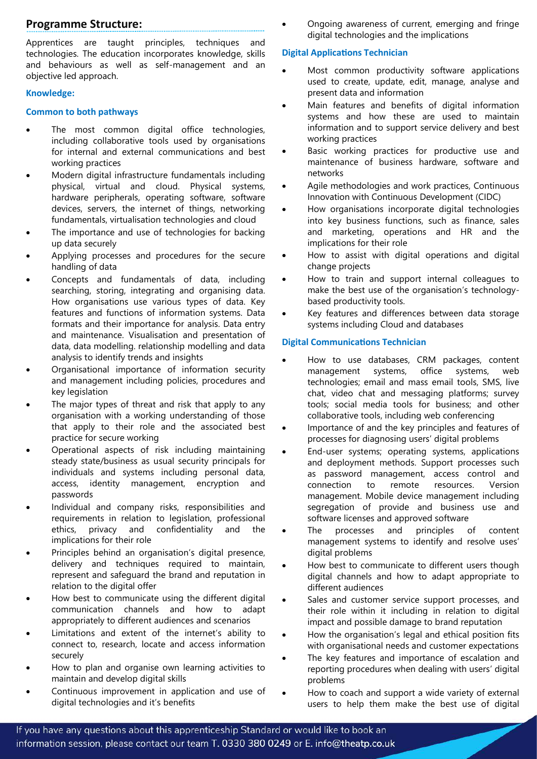# **Programme Structure:**

Apprentices are taught principles, techniques and technologies. The education incorporates knowledge, skills and behaviours as well as self-management and an objective led approach.

#### **Knowledge:**

#### **Common to both pathways**

- The most common digital office technologies, including collaborative tools used by organisations for internal and external communications and best working practices
- Modern digital infrastructure fundamentals including physical, virtual and cloud. Physical systems, hardware peripherals, operating software, software devices, servers, the internet of things, networking fundamentals, virtualisation technologies and cloud
- The importance and use of technologies for backing up data securely
- Applying processes and procedures for the secure handling of data
- Concepts and fundamentals of data, including searching, storing, integrating and organising data. How organisations use various types of data. Key features and functions of information systems. Data formats and their importance for analysis. Data entry and maintenance. Visualisation and presentation of data, data modelling. relationship modelling and data analysis to identify trends and insights
- Organisational importance of information security and management including policies, procedures and key legislation
- The major types of threat and risk that apply to any organisation with a working understanding of those that apply to their role and the associated best practice for secure working
- Operational aspects of risk including maintaining steady state/business as usual security principals for individuals and systems including personal data, access, identity management, encryption and passwords
- Individual and company risks, responsibilities and requirements in relation to legislation, professional ethics, privacy and confidentiality and the implications for their role
- Principles behind an organisation's digital presence, delivery and techniques required to maintain, represent and safeguard the brand and reputation in relation to the digital offer
- How best to communicate using the different digital communication channels and how to adapt appropriately to different audiences and scenarios
- Limitations and extent of the internet's ability to connect to, research, locate and access information securely
- How to plan and organise own learning activities to maintain and develop digital skills
- Continuous improvement in application and use of digital technologies and it's benefits

• Ongoing awareness of current, emerging and fringe digital technologies and the implications

## **Digital Applications Technician**

- Most common productivity software applications used to create, update, edit, manage, analyse and present data and information
- Main features and benefits of digital information systems and how these are used to maintain information and to support service delivery and best working practices
- Basic working practices for productive use and maintenance of business hardware, software and networks
- Agile methodologies and work practices, Continuous Innovation with Continuous Development (CIDC)
- How organisations incorporate digital technologies into key business functions, such as finance, sales and marketing, operations and HR and the implications for their role
- How to assist with digital operations and digital change projects
- How to train and support internal colleagues to make the best use of the organisation's technologybased productivity tools.
- Key features and differences between data storage systems including Cloud and databases

# **Digital Communications Technician**

- How to use databases, CRM packages, content management systems, office systems, web technologies; email and mass email tools, SMS, live chat, video chat and messaging platforms; survey tools; social media tools for business; and other collaborative tools, including web conferencing
- Importance of and the key principles and features of processes for diagnosing users' digital problems
- End-user systems; operating systems, applications and deployment methods. Support processes such as password management, access control and connection to remote resources. Version management. Mobile device management including segregation of provide and business use and software licenses and approved software
- The processes and principles of content management systems to identify and resolve uses' digital problems
- How best to communicate to different users though digital channels and how to adapt appropriate to different audiences
- Sales and customer service support processes, and their role within it including in relation to digital impact and possible damage to brand reputation
- How the organisation's legal and ethical position fits with organisational needs and customer expectations
- The key features and importance of escalation and reporting procedures when dealing with users' digital problems
- How to coach and support a wide variety of external users to help them make the best use of digital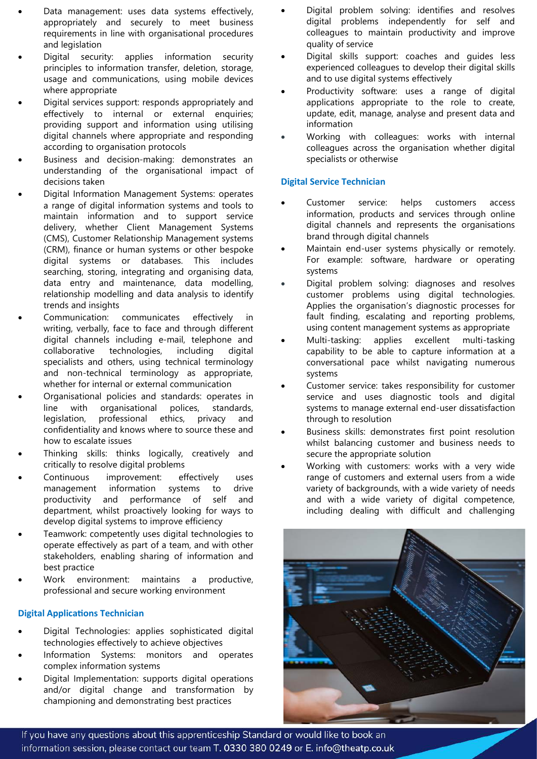- Data management: uses data systems effectively, appropriately and securely to meet business requirements in line with organisational procedures and legislation
- Digital security: applies information security principles to information transfer, deletion, storage, usage and communications, using mobile devices where appropriate
- Digital services support: responds appropriately and effectively to internal or external enquiries; providing support and information using utilising digital channels where appropriate and responding according to organisation protocols
- Business and decision-making: demonstrates an understanding of the organisational impact of decisions taken
- Digital Information Management Systems: operates a range of digital information systems and tools to maintain information and to support service delivery, whether Client Management Systems (CMS), Customer Relationship Management systems (CRM), finance or human systems or other bespoke digital systems or databases. This includes searching, storing, integrating and organising data, data entry and maintenance, data modelling, relationship modelling and data analysis to identify trends and insights
- Communication: communicates effectively in writing, verbally, face to face and through different digital channels including e-mail, telephone and collaborative technologies, including digital specialists and others, using technical terminology and non-technical terminology as appropriate, whether for internal or external communication
- Organisational policies and standards: operates in line with organisational polices, standards, legislation, professional ethics, privacy and confidentiality and knows where to source these and how to escalate issues
- Thinking skills: thinks logically, creatively and critically to resolve digital problems
- Continuous improvement: effectively uses management information systems to drive productivity and performance of self and department, whilst proactively looking for ways to develop digital systems to improve efficiency
- Teamwork: competently uses digital technologies to operate effectively as part of a team, and with other stakeholders, enabling sharing of information and best practice
- Work environment: maintains a productive, professional and secure working environment

#### **Digital Applications Technician**

- Digital Technologies: applies sophisticated digital technologies effectively to achieve objectives
- Information Systems: monitors and operates complex information systems
- Digital Implementation: supports digital operations and/or digital change and transformation by championing and demonstrating best practices
- Digital problem solving: identifies and resolves digital problems independently for self and colleagues to maintain productivity and improve quality of service
- Digital skills support: coaches and guides less experienced colleagues to develop their digital skills and to use digital systems effectively
- Productivity software: uses a range of digital applications appropriate to the role to create, update, edit, manage, analyse and present data and information
- Working with colleagues: works with internal colleagues across the organisation whether digital specialists or otherwise

# **Digital Service Technician**

- Customer service: helps customers access information, products and services through online digital channels and represents the organisations brand through digital channels
- Maintain end-user systems physically or remotely. For example: software, hardware or operating systems
- Digital problem solving: diagnoses and resolves customer problems using digital technologies. Applies the organisation's diagnostic processes for fault finding, escalating and reporting problems, using content management systems as appropriate
- Multi-tasking: applies excellent multi-tasking capability to be able to capture information at a conversational pace whilst navigating numerous systems
- Customer service: takes responsibility for customer service and uses diagnostic tools and digital systems to manage external end-user dissatisfaction through to resolution
- Business skills: demonstrates first point resolution whilst balancing customer and business needs to secure the appropriate solution
- Working with customers: works with a very wide range of customers and external users from a wide variety of backgrounds, with a wide variety of needs and with a wide variety of digital competence, including dealing with difficult and challenging



If you have any questions about this apprenticeship Standard or would like to book an information session, please contact our team T. 0330 380 0249 or E. info@theatp.co.uk